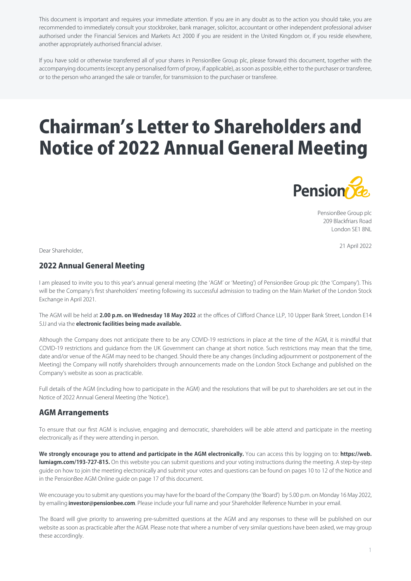This document is important and requires your immediate attention. If you are in any doubt as to the action you should take, you are recommended to immediately consult your stockbroker, bank manager, solicitor, accountant or other independent professional adviser authorised under the Financial Services and Markets Act 2000 if you are resident in the United Kingdom or, if you reside elsewhere, another appropriately authorised financial adviser.

If you have sold or otherwise transferred all of your shares in PensionBee Group plc, please forward this document, together with the accompanying documents (except any personalised form of proxy, if applicable), as soon as possible, either to the purchaser or transferee, or to the person who arranged the sale or transfer, for transmission to the purchaser or transferee.

# Chairman's Letter to Shareholders and Notice of 2022 Annual General Meeting



PensionBee Group plc 209 Blackfriars Road London SE1 8NL

21 April 2022 Dear Shareholder,

# 2022 Annual General Meeting

I am pleased to invite you to this year's annual general meeting (the 'AGM' or 'Meeting') of PensionBee Group plc (the 'Company'). This will be the Company's first shareholders' meeting following its successful admission to trading on the Main Market of the London Stock Exchange in April 2021.

The AGM will be held at **2.00 p.m. on Wednesday 18 May 2022** at the offices of Clifford Chance LLP, 10 Upper Bank Street, London E14 5JJ and via the **electronic facilities being made available.** 

Although the Company does not anticipate there to be any COVID-19 restrictions in place at the time of the AGM, it is mindful that COVID-19 restrictions and guidance from the UK Government can change at short notice. Such restrictions may mean that the time, date and/or venue of the AGM may need to be changed. Should there be any changes (including adjournment or postponement of the Meeting) the Company will notify shareholders through announcements made on the London Stock Exchange and published on the Company's website as soon as practicable.

Full details of the AGM (including how to participate in the AGM) and the resolutions that will be put to shareholders are set out in the Notice of 2022 Annual General Meeting (the 'Notice').

# AGM Arrangements

To ensure that our first AGM is inclusive, engaging and democratic, shareholders will be able attend and participate in the meeting electronically as if they were attending in person.

**We strongly encourage you to attend and participate in the AGM electronically.** You can access this by logging on to: **[https://web.](https://web.lumiagm.com/193-727-815) [lumiagm.com/193-727-815](https://web.lumiagm.com/193-727-815).** On this website you can submit questions and your voting instructions during the meeting. A step-by-step guide on how to join the meeting electronically and submit your votes and questions can be found on pages 10 to 12 of the Notice and in the PensionBee AGM Online guide on page 17 of this document.

We encourage you to submit any questions you may have for the board of the Company (the 'Board') by 5.00 p.m. on Monday 16 May 2022, by emailing **investor@pensionbee.com**. Please include your full name and your Shareholder Reference Number in your email.

The Board will give priority to answering pre-submitted questions at the AGM and any responses to these will be published on our website as soon as practicable after the AGM. Please note that where a number of very similar questions have been asked, we may group these accordingly.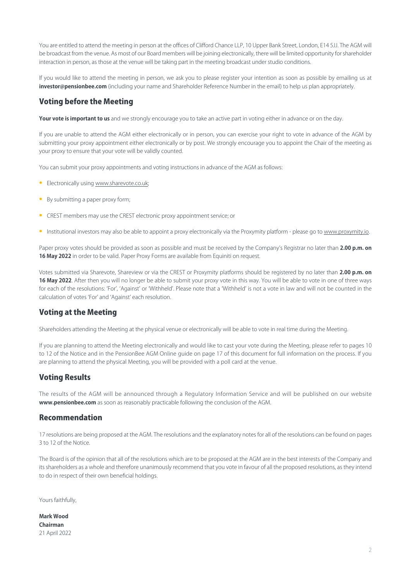You are entitled to attend the meeting in person at the offices of Clifford Chance LLP, 10 Upper Bank Street, London, E14 5JJ. The AGM will be broadcast from the venue. As most of our Board members will be joining electronically, there will be limited opportunity for shareholder interaction in person, as those at the venue will be taking part in the meeting broadcast under studio conditions.

If you would like to attend the meeting in person, we ask you to please register your intention as soon as possible by emailing us at **investor@pensionbee.com** (including your name and Shareholder Reference Number in the email) to help us plan appropriately.

# Voting before the Meeting

Your vote is important to us and we strongly encourage you to take an active part in voting either in advance or on the day.

If you are unable to attend the AGM either electronically or in person, you can exercise your right to vote in advance of the AGM by submitting your proxy appointment either electronically or by post. We strongly encourage you to appoint the Chair of the meeting as your proxy to ensure that your vote will be validly counted.

You can submit your proxy appointments and voting instructions in advance of the AGM as follows:

- Electronically using [www.sharevote.co.uk](http://www.sharevote.co.uk);
- By submitting a paper proxy form;
- CREST members may use the CREST electronic proxy appointment service; or
- Institutional investors may also be able to appoint a proxy electronically via the Proxymity platform please go to [www.proxymity.io](http://www.proxymity.io).

Paper proxy votes should be provided as soon as possible and must be received by the Company's Registrar no later than **2.00 p.m. on 16 May 2022** in order to be valid. Paper Proxy Forms are available from Equiniti on request.

Votes submitted via Sharevote, Shareview or via the CREST or Proxymity platforms should be registered by no later than **2.00 p.m. on 16 May 2022**. After then you will no longer be able to submit your proxy vote in this way. You will be able to vote in one of three ways for each of the resolutions: 'For', 'Against' or 'Withheld'. Please note that a 'Withheld' is not a vote in law and will not be counted in the calculation of votes 'For' and 'Against' each resolution.

# Voting at the Meeting

Shareholders attending the Meeting at the physical venue or electronically will be able to vote in real time during the Meeting.

If you are planning to attend the Meeting electronically and would like to cast your vote during the Meeting, please refer to pages 10 to 12 of the Notice and in the PensionBee AGM Online guide on page 17 of this document for full information on the process. If you are planning to attend the physical Meeting, you will be provided with a poll card at the venue.

# Voting Results

The results of the AGM will be announced through a Regulatory Information Service and will be published on our website **www.pensionbee.com** as soon as reasonably practicable following the conclusion of the AGM.

# Recommendation

17 resolutions are being proposed at the AGM. The resolutions and the explanatory notes for all of the resolutions can be found on pages 3 to 12 of the Notice.

The Board is of the opinion that all of the resolutions which are to be proposed at the AGM are in the best interests of the Company and its shareholders as a whole and therefore unanimously recommend that you vote in favour of all the proposed resolutions, as they intend to do in respect of their own beneficial holdings.

Yours faithfully,

**Mark Wood Chairman** 21 April 2022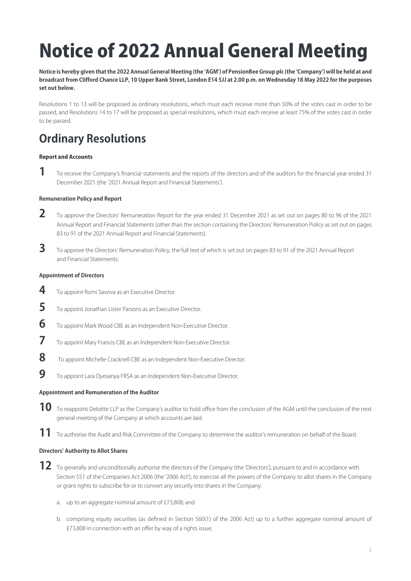# Notice of 2022 Annual General Meeting

**Notice is hereby given that the 2022 Annual General Meeting (the 'AGM') of PensionBee Group plc (the 'Company') will be held at and broadcast from Clifford Chance LLP, 10 Upper Bank Street, London E14 5JJ at 2.00 p.m. on Wednesday 18 May 2022 for the purposes set out below.**

Resolutions 1 to 13 will be proposed as ordinary resolutions, which must each receive more than 50% of the votes cast in order to be passed, and Resolutions 14 to 17 will be proposed as special resolutions, which must each receive at least 75% of the votes cast in order to be passed.

# **Ordinary Resolutions**

# Report and Accounts

**1** To receive the Company's financial statements and the reports of the directors and of the auditors for the financial year ended 31 December 2021 (the '2021 Annual Report and Financial Statements').

# **Remuneration Policy and Report**

- **2** To approve the Directors' Remuneration Report for the year ended 31 December 2021 as set out on pages 80 to 96 of the 2021 Annual Report and Financial Statements (other than the section containing the Directors' Remuneration Policy as set out on pages 83 to 91 of the 2021 Annual Report and Financial Statements).
- **3** To approve the Directors' Remuneration Policy, the full text of which is set out on pages 83 to 91 of the 2021 Annual Report and Financial Statements.

# **Appointment of Directors**

- **4** To appoint Romi Savova as an Executive Director.
- **5** To appoint Jonathan Lister Parsons as an Executive Director.
- **6** To appoint Mark Wood CBE as an Independent Non-Executive Director.
- **7** To appoint Mary Francis CBE as an Independent Non-Executive Director.
- **8** To appoint Michelle Cracknell CBE as an Independent Non-Executive Director.
- **9** To appoint Lara Oyesanya FRSA as an Independent Non-Executive Director.

# **Appointment and Remuneration of the Auditor**

- **10** To reappoint Deloitte LLP as the Company's auditor to hold office from the conclusion of the AGM until the conclusion of the next general meeting of the Company at which accounts are laid.
- **11** To authorise the Audit and Risk Committee of the Company to determine the auditor's remuneration on behalf of the Board.

# **Directors' Authority to Allot Shares**

- 12 To generally and unconditionally authorise the directors of the Company (the 'Directors'), pursuant to and in accordance with Section 551 of the Companies Act 2006 (the '2006 Act'), to exercise all the powers of the Company to allot shares in the Company or grant rights to subscribe for or to convert any security into shares in the Company:
	- a. up to an aggregate nominal amount of £73,808; and
	- b. comprising equity securities (as defined in Section 560(1) of the 2006 Act) up to a further aggregate nominal amount of £73,808 in connection with an offer by way of a rights issue;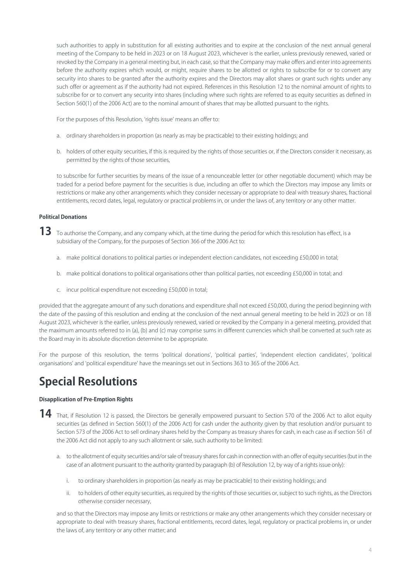such authorities to apply in substitution for all existing authorities and to expire at the conclusion of the next annual general meeting of the Company to be held in 2023 or on 18 August 2023, whichever is the earlier, unless previously renewed, varied or revoked by the Company in a general meeting but, in each case, so that the Company may make offers and enter into agreements before the authority expires which would, or might, require shares to be allotted or rights to subscribe for or to convert any security into shares to be granted after the authority expires and the Directors may allot shares or grant such rights under any such offer or agreement as if the authority had not expired. References in this Resolution 12 to the nominal amount of rights to subscribe for or to convert any security into shares (including where such rights are referred to as equity securities as defined in Section 560(1) of the 2006 Act) are to the nominal amount of shares that may be allotted pursuant to the rights.

For the purposes of this Resolution, 'rights issue' means an offer to:

- a. ordinary shareholders in proportion (as nearly as may be practicable) to their existing holdings; and
- b. holders of other equity securities, if this is required by the rights of those securities or, if the Directors consider it necessary, as permitted by the rights of those securities,

to subscribe for further securities by means of the issue of a renounceable letter (or other negotiable document) which may be traded for a period before payment for the securities is due, including an offer to which the Directors may impose any limits or restrictions or make any other arrangements which they consider necessary or appropriate to deal with treasury shares, fractional entitlements, record dates, legal, regulatory or practical problems in, or under the laws of, any territory or any other matter.

# **Political Donations**

- 13 To authorise the Company, and any company which, at the time during the period for which this resolution has effect, is a subsidiary of the Company, for the purposes of Section 366 of the 2006 Act to:
	- a. make political donations to political parties or independent election candidates, not exceeding £50,000 in total;
	- b. make political donations to political organisations other than political parties, not exceeding £50,000 in total; and
	- c. incur political expenditure not exceeding £50,000 in total;

provided that the aggregate amount of any such donations and expenditure shall not exceed £50,000, during the period beginning with the date of the passing of this resolution and ending at the conclusion of the next annual general meeting to be held in 2023 or on 18 August 2023, whichever is the earlier, unless previously renewed, varied or revoked by the Company in a general meeting, provided that the maximum amounts referred to in (a), (b) and (c) may comprise sums in different currencies which shall be converted at such rate as the Board may in its absolute discretion determine to be appropriate.

For the purpose of this resolution, the terms 'political donations', 'political parties', 'independent election candidates', 'political organisations' and 'political expenditure' have the meanings set out in Sections 363 to 365 of the 2006 Act.

# **Special Resolutions**

# **Disapplication of Pre-Emption Rights**

- **14** That, if Resolution 12 is passed, the Directors be generally empowered pursuant to Section 570 of the 2006 Act to allot equity securities (as defined in Section 560(1) of the 2006 Act) for cash under the authority given by that resolution and/or pursuant to Section 573 of the 2006 Act to sell ordinary shares held by the Company as treasury shares for cash, in each case as if section 561 of the 2006 Act did not apply to any such allotment or sale, such authority to be limited:
	- a. to the allotment of equity securities and/or sale of treasury shares for cash in connection with an offer of equity securities (but in the case of an allotment pursuant to the authority granted by paragraph (b) of Resolution 12, by way of a rights issue only):
		- i. to ordinary shareholders in proportion (as nearly as may be practicable) to their existing holdings; and
		- ii. to holders of other equity securities, as required by the rights of those securities or, subject to such rights, as the Directors otherwise consider necessary,

and so that the Directors may impose any limits or restrictions or make any other arrangements which they consider necessary or appropriate to deal with treasury shares, fractional entitlements, record dates, legal, regulatory or practical problems in, or under the laws of, any territory or any other matter; and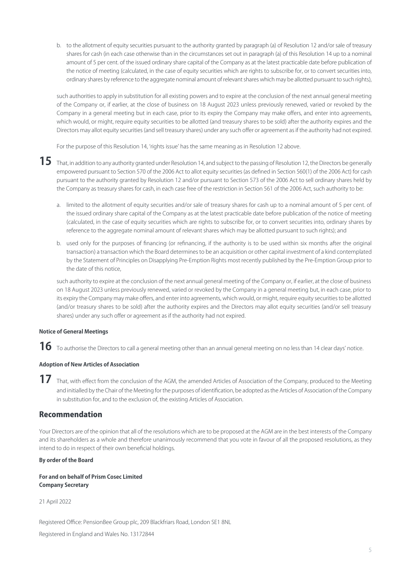b. to the allotment of equity securities pursuant to the authority granted by paragraph (a) of Resolution 12 and/or sale of treasury shares for cash (in each case otherwise than in the circumstances set out in paragraph (a) of this Resolution 14 up to a nominal amount of 5 per cent. of the issued ordinary share capital of the Company as at the latest practicable date before publication of the notice of meeting (calculated, in the case of equity securities which are rights to subscribe for, or to convert securities into, ordinary shares by reference to the aggregate nominal amount of relevant shares which may be allotted pursuant to such rights),

such authorities to apply in substitution for all existing powers and to expire at the conclusion of the next annual general meeting of the Company or, if earlier, at the close of business on 18 August 2023 unless previously renewed, varied or revoked by the Company in a general meeting but in each case, prior to its expiry the Company may make offers, and enter into agreements, which would, or might, require equity securities to be allotted (and treasury shares to be sold) after the authority expires and the Directors may allot equity securities (and sell treasury shares) under any such offer or agreement as if the authority had not expired.

For the purpose of this Resolution 14, 'rights issue' has the same meaning as in Resolution 12 above.

- 15 That, in addition to any authority granted under Resolution 14, and subject to the passing of Resolution 12, the Directors be generally empowered pursuant to Section 570 of the 2006 Act to allot equity securities (as defined in Section 560(1) of the 2006 Act) for cash pursuant to the authority granted by Resolution 12 and/or pursuant to Section 573 of the 2006 Act to sell ordinary shares held by the Company as treasury shares for cash, in each case free of the restriction in Section 561 of the 2006 Act, such authority to be:
	- a. limited to the allotment of equity securities and/or sale of treasury shares for cash up to a nominal amount of 5 per cent. of the issued ordinary share capital of the Company as at the latest practicable date before publication of the notice of meeting (calculated, in the case of equity securities which are rights to subscribe for, or to convert securities into, ordinary shares by reference to the aggregate nominal amount of relevant shares which may be allotted pursuant to such rights); and
	- b. used only for the purposes of financing (or refinancing, if the authority is to be used within six months after the original transaction) a transaction which the Board determines to be an acquisition or other capital investment of a kind contemplated by the Statement of Principles on Disapplying Pre-Emption Rights most recently published by the Pre-Emption Group prior to the date of this notice,

such authority to expire at the conclusion of the next annual general meeting of the Company or, if earlier, at the close of business on 18 August 2023 unless previously renewed, varied or revoked by the Company in a general meeting but, in each case, prior to its expiry the Company may make offers, and enter into agreements, which would, or might, require equity securities to be allotted (and/or treasury shares to be sold) after the authority expires and the Directors may allot equity securities (and/or sell treasury shares) under any such offer or agreement as if the authority had not expired.

# **Notice of General Meetings**

 ${\bf 16}$  To authorise the Directors to call a general meeting other than an annual general meeting on no less than 14 clear days' notice.

# **Adoption of New Articles of Association**

17 That, with effect from the conclusion of the AGM, the amended Articles of Association of the Company, produced to the Meeting and initialled by the Chair of the Meeting for the purposes of identification, be adopted as the Articles of Association of the Company in substitution for, and to the exclusion of, the existing Articles of Association.

# Recommendation

Your Directors are of the opinion that all of the resolutions which are to be proposed at the AGM are in the best interests of the Company and its shareholders as a whole and therefore unanimously recommend that you vote in favour of all the proposed resolutions, as they intend to do in respect of their own beneficial holdings.

# **By order of the Board**

**For and on behalf of Prism Cosec Limited Company Secretary**

21 April 2022

Registered Office: PensionBee Group plc, 209 Blackfriars Road, London SE1 8NL

Registered in England and Wales No. 13172844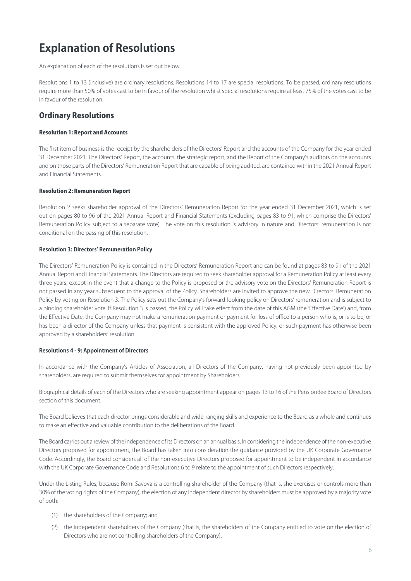# **Explanation of Resolutions**

An explanation of each of the resolutions is set out below.

Resolutions 1 to 13 (inclusive) are ordinary resolutions; Resolutions 14 to 17 are special resolutions. To be passed, ordinary resolutions require more than 50% of votes cast to be in favour of the resolution whilst special resolutions require at least 75% of the votes cast to be in favour of the resolution.

# Ordinary Resolutions

# Resolution 1: Report and Accounts

The first item of business is the receipt by the shareholders of the Directors' Report and the accounts of the Company for the year ended 31 December 2021. The Directors' Report, the accounts, the strategic report, and the Report of the Company's auditors on the accounts and on those parts of the Directors' Remuneration Report that are capable of being audited, are contained within the 2021 Annual Report and Financial Statements.

### Resolution 2: Remuneration Report

Resolution 2 seeks shareholder approval of the Directors' Remuneration Report for the year ended 31 December 2021, which is set out on pages 80 to 96 of the 2021 Annual Report and Financial Statements (excluding pages 83 to 91, which comprise the Directors' Remuneration Policy subject to a separate vote). The vote on this resolution is advisory in nature and Directors' remuneration is not conditional on the passing of this resolution.

## **Resolution 3: Directors' Remuneration Policy**

The Directors' Remuneration Policy is contained in the Directors' Remuneration Report and can be found at pages 83 to 91 of the 2021 Annual Report and Financial Statements. The Directors are required to seek shareholder approval for a Remuneration Policy at least every three years, except in the event that a change to the Policy is proposed or the advisory vote on the Directors' Remuneration Report is not passed in any year subsequent to the approval of the Policy. Shareholders are invited to approve the new Directors' Remuneration Policy by voting on Resolution 3. The Policy sets out the Company's forward-looking policy on Directors' remuneration and is subject to a binding shareholder vote. If Resolution 3 is passed, the Policy will take effect from the date of this AGM (the 'Effective Date') and, from the Effective Date, the Company may not make a remuneration payment or payment for loss of office to a person who is, or is to be, or has been a director of the Company unless that payment is consistent with the approved Policy, or such payment has otherwise been approved by a shareholders' resolution.

# **Resolutions 4 - 9: Appointment of Directors**

In accordance with the Company's Articles of Association, all Directors of the Company, having not previously been appointed by shareholders, are required to submit themselves for appointment by Shareholders.

Biographical details of each of the Directors who are seeking appointment appear on pages 13 to 16 of the PensionBee Board of Directors section of this document.

The Board believes that each director brings considerable and wide-ranging skills and experience to the Board as a whole and continues to make an effective and valuable contribution to the deliberations of the Board.

The Board carries out a review of the independence of its Directors on an annual basis. In considering the independence of the non-executive Directors proposed for appointment, the Board has taken into consideration the guidance provided by the UK Corporate Governance Code. Accordingly, the Board considers all of the non-executive Directors proposed for appointment to be independent in accordance with the UK Corporate Governance Code and Resolutions 6 to 9 relate to the appointment of such Directors respectively.

Under the Listing Rules, because Romi Savova is a controlling shareholder of the Company (that is, she exercises or controls more than 30% of the voting rights of the Company), the election of any independent director by shareholders must be approved by a majority vote of both:

- (1) the shareholders of the Company; and
- (2) the independent shareholders of the Company (that is, the shareholders of the Company entitled to vote on the election of Directors who are not controlling shareholders of the Company).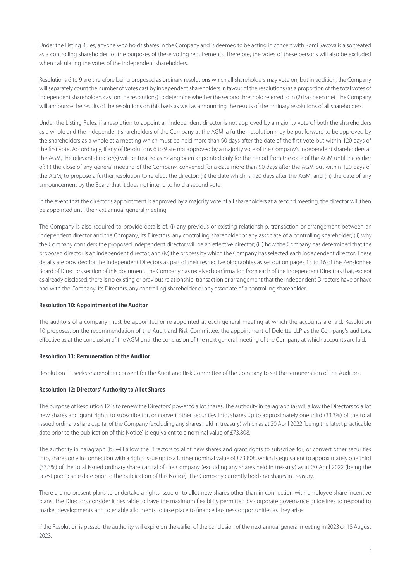Under the Listing Rules, anyone who holds shares in the Company and is deemed to be acting in concert with Romi Savova is also treated as a controlling shareholder for the purposes of these voting requirements. Therefore, the votes of these persons will also be excluded when calculating the votes of the independent shareholders.

Resolutions 6 to 9 are therefore being proposed as ordinary resolutions which all shareholders may vote on, but in addition, the Company will separately count the number of votes cast by independent shareholders in favour of the resolutions (as a proportion of the total votes of independent shareholders cast on the resolutions) to determine whether the second threshold referred to in (2) has been met. The Company will announce the results of the resolutions on this basis as well as announcing the results of the ordinary resolutions of all shareholders.

Under the Listing Rules, if a resolution to appoint an independent director is not approved by a majority vote of both the shareholders as a whole and the independent shareholders of the Company at the AGM, a further resolution may be put forward to be approved by the shareholders as a whole at a meeting which must be held more than 90 days after the date of the first vote but within 120 days of the first vote. Accordingly, if any of Resolutions 6 to 9 are not approved by a majority vote of the Company's independent shareholders at the AGM, the relevant director(s) will be treated as having been appointed only for the period from the date of the AGM until the earlier of: (i) the close of any general meeting of the Company, convened for a date more than 90 days after the AGM but within 120 days of the AGM, to propose a further resolution to re-elect the director; (ii) the date which is 120 days after the AGM; and (iii) the date of any announcement by the Board that it does not intend to hold a second vote.

In the event that the director's appointment is approved by a majority vote of all shareholders at a second meeting, the director will then be appointed until the next annual general meeting.

The Company is also required to provide details of: (i) any previous or existing relationship, transaction or arrangement between an independent director and the Company, its Directors, any controlling shareholder or any associate of a controlling shareholder; (ii) why the Company considers the proposed independent director will be an effective director; (iii) how the Company has determined that the proposed director is an independent director; and (iv) the process by which the Company has selected each independent director. These details are provided for the independent Directors as part of their respective biographies as set out on pages 13 to 16 of the PensionBee Board of Directors section of this document. The Company has received confirmation from each of the independent Directors that, except as already disclosed, there is no existing or previous relationship, transaction or arrangement that the independent Directors have or have had with the Company, its Directors, any controlling shareholder or any associate of a controlling shareholder.

#### **Resolution 10: Appointment of the Auditor**

The auditors of a company must be appointed or re-appointed at each general meeting at which the accounts are laid. Resolution 10 proposes, on the recommendation of the Audit and Risk Committee, the appointment of Deloitte LLP as the Company's auditors, effective as at the conclusion of the AGM until the conclusion of the next general meeting of the Company at which accounts are laid.

#### **Resolution 11: Remuneration of the Auditor**

Resolution 11 seeks shareholder consent for the Audit and Risk Committee of the Company to set the remuneration of the Auditors.

### **Resolution 12: Directors' Authority to Allot Shares**

The purpose of Resolution 12 is to renew the Directors' power to allot shares. The authority in paragraph (a) will allow the Directors to allot new shares and grant rights to subscribe for, or convert other securities into, shares up to approximately one third (33.3%) of the total issued ordinary share capital of the Company (excluding any shares held in treasury) which as at 20 April 2022 (being the latest practicable date prior to the publication of this Notice) is equivalent to a nominal value of £73,808.

The authority in paragraph (b) will allow the Directors to allot new shares and grant rights to subscribe for, or convert other securities into, shares only in connection with a rights issue up to a further nominal value of £73,808, which is equivalent to approximately one third (33.3%) of the total issued ordinary share capital of the Company (excluding any shares held in treasury) as at 20 April 2022 (being the latest practicable date prior to the publication of this Notice). The Company currently holds no shares in treasury.

There are no present plans to undertake a rights issue or to allot new shares other than in connection with employee share incentive plans. The Directors consider it desirable to have the maximum flexibility permitted by corporate governance guidelines to respond to market developments and to enable allotments to take place to finance business opportunities as they arise.

If the Resolution is passed, the authority will expire on the earlier of the conclusion of the next annual general meeting in 2023 or 18 August 2023.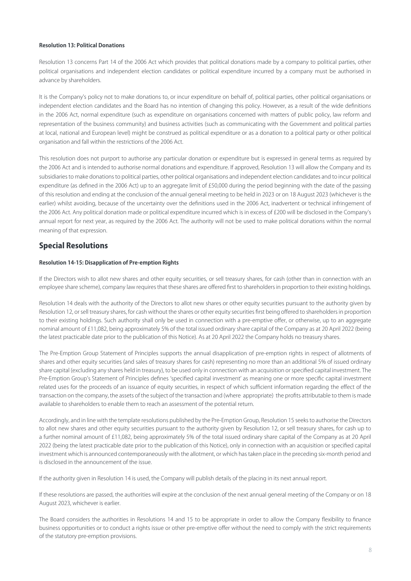# **Resolution 13: Political Donations**

Resolution 13 concerns Part 14 of the 2006 Act which provides that political donations made by a company to political parties, other political organisations and independent election candidates or political expenditure incurred by a company must be authorised in advance by shareholders.

It is the Company's policy not to make donations to, or incur expenditure on behalf of, political parties, other political organisations or independent election candidates and the Board has no intention of changing this policy. However, as a result of the wide definitions in the 2006 Act, normal expenditure (such as expenditure on organisations concerned with matters of public policy, law reform and representation of the business community) and business activities (such as communicating with the Government and political parties at local, national and European level) might be construed as political expenditure or as a donation to a political party or other political organisation and fall within the restrictions of the 2006 Act.

This resolution does not purport to authorise any particular donation or expenditure but is expressed in general terms as required by the 2006 Act and is intended to authorise normal donations and expenditure. If approved, Resolution 13 will allow the Company and its subsidiaries to make donations to political parties, other political organisations and independent election candidates and to incur political expenditure (as defined in the 2006 Act) up to an aggregate limit of £50,000 during the period beginning with the date of the passing of this resolution and ending at the conclusion of the annual general meeting to be held in 2023 or on 18 August 2023 (whichever is the earlier) whilst avoiding, because of the uncertainty over the definitions used in the 2006 Act, inadvertent or technical infringement of the 2006 Act. Any political donation made or political expenditure incurred which is in excess of £200 will be disclosed in the Company's annual report for next year, as required by the 2006 Act. The authority will not be used to make political donations within the normal meaning of that expression.

# Special Resolutions

## **Resolution 14-15: Disapplication of Pre-emption Rights**

If the Directors wish to allot new shares and other equity securities, or sell treasury shares, for cash (other than in connection with an employee share scheme), company law requires that these shares are offered first to shareholders in proportion to their existing holdings.

Resolution 14 deals with the authority of the Directors to allot new shares or other equity securities pursuant to the authority given by Resolution 12, or sell treasury shares, for cash without the shares or other equity securities first being offered to shareholders in proportion to their existing holdings. Such authority shall only be used in connection with a pre-emptive offer, or otherwise, up to an aggregate nominal amount of £11,082, being approximately 5% of the total issued ordinary share capital of the Company as at 20 April 2022 (being the latest practicable date prior to the publication of this Notice). As at 20 April 2022 the Company holds no treasury shares.

The Pre-Emption Group Statement of Principles supports the annual disapplication of pre-emption rights in respect of allotments of shares and other equity securities (and sales of treasury shares for cash) representing no more than an additional 5% of issued ordinary share capital (excluding any shares held in treasury), to be used only in connection with an acquisition or specified capital investment. The Pre-Emption Group's Statement of Principles defines 'specified capital investment' as meaning one or more specific capital investment related uses for the proceeds of an issuance of equity securities, in respect of which sufficient information regarding the effect of the transaction on the company, the assets of the subject of the transaction and (where appropriate) the profits attributable to them is made available to shareholders to enable them to reach an assessment of the potential return.

Accordingly, and in line with the template resolutions published by the Pre-Emption Group, Resolution 15 seeks to authorise the Directors to allot new shares and other equity securities pursuant to the authority given by Resolution 12, or sell treasury shares, for cash up to a further nominal amount of £11,082, being approximately 5% of the total issued ordinary share capital of the Company as at 20 April 2022 (being the latest practicable date prior to the publication of this Notice), only in connection with an acquisition or specified capital investment which is announced contemporaneously with the allotment, or which has taken place in the preceding six-month period and is disclosed in the announcement of the issue.

If the authority given in Resolution 14 is used, the Company will publish details of the placing in its next annual report.

If these resolutions are passed, the authorities will expire at the conclusion of the next annual general meeting of the Company or on 18 August 2023, whichever is earlier.

The Board considers the authorities in Resolutions 14 and 15 to be appropriate in order to allow the Company flexibility to finance business opportunities or to conduct a rights issue or other pre-emptive offer without the need to comply with the strict requirements of the statutory pre-emption provisions.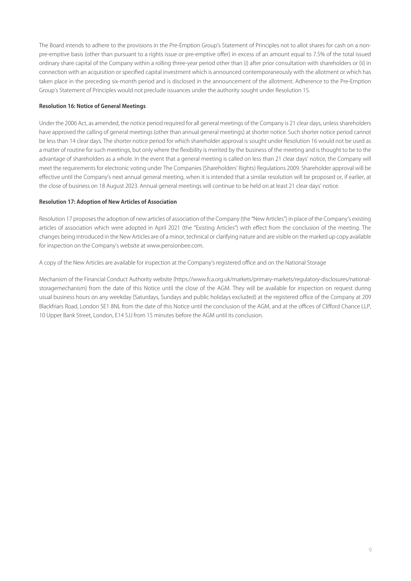The Board intends to adhere to the provisions in the Pre-Emption Group's Statement of Principles not to allot shares for cash on a nonpre-emptive basis (other than pursuant to a rights issue or pre-emptive offer) in excess of an amount equal to 7.5% of the total issued ordinary share capital of the Company within a rolling three-year period other than (i) after prior consultation with shareholders or (ii) in connection with an acquisition or specified capital investment which is announced contemporaneously with the allotment or which has taken place in the preceding six-month period and is disclosed in the announcement of the allotment. Adherence to the Pre-Emption Group's Statement of Principles would not preclude issuances under the authority sought under Resolution 15.

## **Resolution 16: Notice of General Meetings**

Under the 2006 Act, as amended, the notice period required for all general meetings of the Company is 21 clear days, unless shareholders have approved the calling of general meetings (other than annual general meetings) at shorter notice. Such shorter notice period cannot be less than 14 clear days. The shorter notice period for which shareholder approval is sought under Resolution 16 would not be used as a matter of routine for such meetings, but only where the flexibility is merited by the business of the meeting and is thought to be to the advantage of shareholders as a whole. In the event that a general meeting is called on less than 21 clear days' notice, the Company will meet the requirements for electronic voting under The Companies (Shareholders' Rights) Regulations 2009. Shareholder approval will be effective until the Company's next annual general meeting, when it is intended that a similar resolution will be proposed or, if earlier, at the close of business on 18 August 2023. Annual general meetings will continue to be held on at least 21 clear days' notice.

# **Resolution 17: Adoption of New Articles of Association**

Resolution 17 proposes the adoption of new articles of association of the Company (the "New Articles") in place of the Company's existing articles of association which were adopted in April 2021 (the "Existing Articles") with effect from the conclusion of the meeting. The changes being introduced in the New Articles are of a minor, technical or clarifying nature and are visible on the marked up copy available for inspection on the Company's website at www.pensionbee.com.

A copy of the New Articles are available for inspection at the Company's registered office and on the National Storage

Mechanism of the Financial Conduct Authority website ([https://www.fca.org.uk/markets/primary-markets/regulatory-disclosures/national](https://www.fca.org.uk/markets/primary-markets/regulatory-disclosures/national-storagemechanism)[storagemechanism\)](https://www.fca.org.uk/markets/primary-markets/regulatory-disclosures/national-storagemechanism) from the date of this Notice until the close of the AGM. They will be available for inspection on request during usual business hours on any weekday (Saturdays, Sundays and public holidays excluded) at the registered office of the Company at 209 Blackfriars Road, London SE1 8NL from the date of this Notice until the conclusion of the AGM, and at the offices of Clifford Chance LLP, 10 Upper Bank Street, London, E14 5JJ from 15 minutes before the AGM until its conclusion.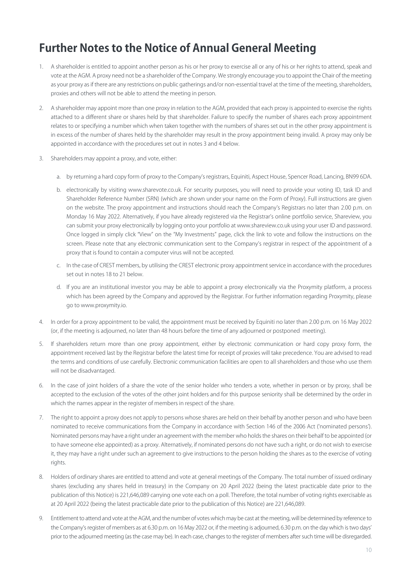# **Further Notes to the Notice of Annual General Meeting**

- 1. A shareholder is entitled to appoint another person as his or her proxy to exercise all or any of his or her rights to attend, speak and vote at the AGM. A proxy need not be a shareholder of the Company. We strongly encourage you to appoint the Chair of the meeting as your proxy as if there are any restrictions on public gatherings and/or non-essential travel at the time of the meeting, shareholders, proxies and others will not be able to attend the meeting in person.
- 2. A shareholder may appoint more than one proxy in relation to the AGM, provided that each proxy is appointed to exercise the rights attached to a different share or shares held by that shareholder. Failure to specify the number of shares each proxy appointment relates to or specifying a number which when taken together with the numbers of shares set out in the other proxy appointment is in excess of the number of shares held by the shareholder may result in the proxy appointment being invalid. A proxy may only be appointed in accordance with the procedures set out in notes 3 and 4 below.
- 3. Shareholders may appoint a proxy, and vote, either:
	- a. by returning a hard copy form of proxy to the Company's registrars, Equiniti, Aspect House, Spencer Road, Lancing, BN99 6DA.
	- b. electronically by visiting www.sharevote.co.uk. For security purposes, you will need to provide your voting ID, task ID and Shareholder Reference Number (SRN) (which are shown under your name on the Form of Proxy). Full instructions are given on the website. The proxy appointment and instructions should reach the Company's Registrars no later than 2.00 p.m. on Monday 16 May 2022. Alternatively, if you have already registered via the Registrar's online portfolio service, Shareview, you can submit your proxy electronically by logging onto your portfolio at www.shareview.co.uk using your user ID and password. Once logged in simply click "View" on the "My Investments" page, click the link to vote and follow the instructions on the screen. Please note that any electronic communication sent to the Company's registrar in respect of the appointment of a proxy that is found to contain a computer virus will not be accepted.
	- c. In the case of CREST members, by utilising the CREST electronic proxy appointment service in accordance with the procedures set out in notes 18 to 21 below.
	- d. If you are an institutional investor you may be able to appoint a proxy electronically via the Proxymity platform, a process which has been agreed by the Company and approved by the Registrar. For further information regarding Proxymity, please go to www.proxymity.io.
- 4. In order for a proxy appointment to be valid, the appointment must be received by Equiniti no later than 2.00 p.m. on 16 May 2022 (or, if the meeting is adjourned, no later than 48 hours before the time of any adjourned or postponed meeting).
- 5. If shareholders return more than one proxy appointment, either by electronic communication or hard copy proxy form, the appointment received last by the Registrar before the latest time for receipt of proxies will take precedence. You are advised to read the terms and conditions of use carefully. Electronic communication facilities are open to all shareholders and those who use them will not be disadvantaged.
- 6. In the case of joint holders of a share the vote of the senior holder who tenders a vote, whether in person or by proxy, shall be accepted to the exclusion of the votes of the other joint holders and for this purpose seniority shall be determined by the order in which the names appear in the register of members in respect of the share.
- 7. The right to appoint a proxy does not apply to persons whose shares are held on their behalf by another person and who have been nominated to receive communications from the Company in accordance with Section 146 of the 2006 Act ('nominated persons'). Nominated persons may have a right under an agreement with the member who holds the shares on their behalf to be appointed (or to have someone else appointed) as a proxy. Alternatively, if nominated persons do not have such a right, or do not wish to exercise it, they may have a right under such an agreement to give instructions to the person holding the shares as to the exercise of voting rights.
- 8. Holders of ordinary shares are entitled to attend and vote at general meetings of the Company. The total number of issued ordinary shares (excluding any shares held in treasury) in the Company on 20 April 2022 (being the latest practicable date prior to the publication of this Notice) is 221,646,089 carrying one vote each on a poll. Therefore, the total number of voting rights exercisable as at 20 April 2022 (being the latest practicable date prior to the publication of this Notice) are 221,646,089.
- 9. Entitlement to attend and vote at the AGM, and the number of votes which may be cast at the meeting, will be determined by reference to the Company's register of members as at 6.30 p.m. on 16 May 2022 or, if the meeting is adjourned, 6.30 p.m. on the day which is two days' prior to the adjourned meeting (as the case may be). In each case, changes to the register of members after such time will be disregarded.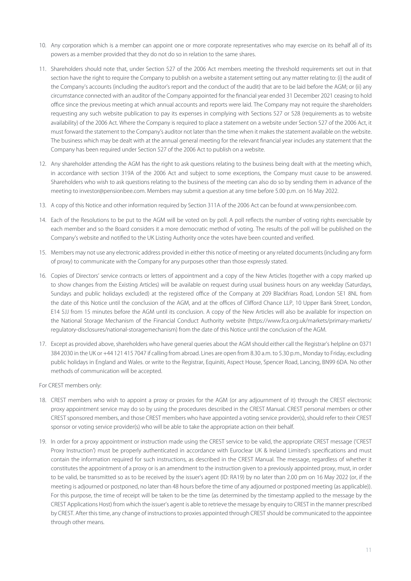- 10. Any corporation which is a member can appoint one or more corporate representatives who may exercise on its behalf all of its powers as a member provided that they do not do so in relation to the same shares.
- 11. Shareholders should note that, under Section 527 of the 2006 Act members meeting the threshold requirements set out in that section have the right to require the Company to publish on a website a statement setting out any matter relating to: (i) the audit of the Company's accounts (including the auditor's report and the conduct of the audit) that are to be laid before the AGM; or (ii) any circumstance connected with an auditor of the Company appointed for the financial year ended 31 December 2021 ceasing to hold office since the previous meeting at which annual accounts and reports were laid. The Company may not require the shareholders requesting any such website publication to pay its expenses in complying with Sections 527 or 528 (requirements as to website availability) of the 2006 Act. Where the Company is required to place a statement on a website under Section 527 of the 2006 Act, it must forward the statement to the Company's auditor not later than the time when it makes the statement available on the website. The business which may be dealt with at the annual general meeting for the relevant financial year includes any statement that the Company has been required under Section 527 of the 2006 Act to publish on a website.
- 12. Any shareholder attending the AGM has the right to ask questions relating to the business being dealt with at the meeting which, in accordance with section 319A of the 2006 Act and subject to some exceptions, the Company must cause to be answered. Shareholders who wish to ask questions relating to the business of the meeting can also do so by sending them in advance of the meeting to investor@pensionbee.com. Members may submit a question at any time before 5.00 p.m. on 16 May 2022.
- 13. A copy of this Notice and other information required by Section 311A of the 2006 Act can be found at www.pensionbee.com.
- 14. Each of the Resolutions to be put to the AGM will be voted on by poll. A poll reflects the number of voting rights exercisable by each member and so the Board considers it a more democratic method of voting. The results of the poll will be published on the Company's website and notified to the UK Listing Authority once the votes have been counted and verified.
- 15. Members may not use any electronic address provided in either this notice of meeting or any related documents (including any form of proxy) to communicate with the Company for any purposes other than those expressly stated.
- 16. Copies of Directors' service contracts or letters of appointment and a copy of the New Articles (together with a copy marked up to show changes from the Existing Articles) will be available on request during usual business hours on any weekday (Saturdays, Sundays and public holidays excluded) at the registered office of the Company at 209 Blackfriars Road, London SE1 8NL from the date of this Notice until the conclusion of the AGM, and at the offices of Clifford Chance LLP, 10 Upper Bank Street, London, E14 5JJ from 15 minutes before the AGM until its conclusion. A copy of the New Articles will also be available for inspection on the National Storage Mechanism of the Financial Conduct Authority website [\(https://www.fca.org.uk/markets/primary-markets/](https://www.fca.org.uk/markets/primary-markets/regulatory-disclosures/national-storagemechanism) [regulatory-disclosures/national-storagemechanism\)](https://www.fca.org.uk/markets/primary-markets/regulatory-disclosures/national-storagemechanism) from the date of this Notice until the conclusion of the AGM.
- 17. Except as provided above, shareholders who have general queries about the AGM should either call the Registrar's helpline on 0371 384 2030 in the UK or +44 121 415 7047 if calling from abroad. Lines are open from 8.30 a.m. to 5.30 p.m., Monday to Friday, excluding public holidays in England and Wales. or write to the Registrar, Equiniti, Aspect House, Spencer Road, Lancing, BN99 6DA. No other methods of communication will be accepted.

For CREST members only:

- 18. CREST members who wish to appoint a proxy or proxies for the AGM (or any adjournment of it) through the CREST electronic proxy appointment service may do so by using the procedures described in the CREST Manual. CREST personal members or other CREST sponsored members, and those CREST members who have appointed a voting service provider(s), should refer to their CREST sponsor or voting service provider(s) who will be able to take the appropriate action on their behalf.
- 19. In order for a proxy appointment or instruction made using the CREST service to be valid, the appropriate CREST message ('CREST Proxy Instruction') must be properly authenticated in accordance with Euroclear UK & Ireland Limited's specifications and must contain the information required for such instructions, as described in the CREST Manual. The message, regardless of whether it constitutes the appointment of a proxy or is an amendment to the instruction given to a previously appointed proxy, must, in order to be valid, be transmitted so as to be received by the issuer's agent (ID: RA19) by no later than 2.00 pm on 16 May 2022 (or, if the meeting is adjourned or postponed, no later than 48 hours before the time of any adjourned or postponed meeting (as applicable)). For this purpose, the time of receipt will be taken to be the time (as determined by the timestamp applied to the message by the CREST Applications Host) from which the issuer's agent is able to retrieve the message by enquiry to CREST in the manner prescribed by CREST. After this time, any change of instructions to proxies appointed through CREST should be communicated to the appointee through other means.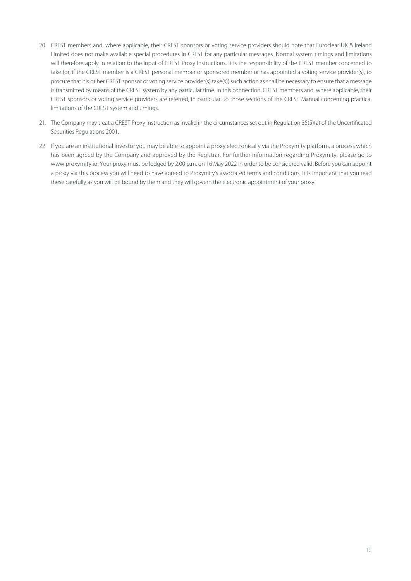- 20. CREST members and, where applicable, their CREST sponsors or voting service providers should note that Euroclear UK & Ireland Limited does not make available special procedures in CREST for any particular messages. Normal system timings and limitations will therefore apply in relation to the input of CREST Proxy Instructions. It is the responsibility of the CREST member concerned to take (or, if the CREST member is a CREST personal member or sponsored member or has appointed a voting service provider(s), to procure that his or her CREST sponsor or voting service provider(s) take(s)) such action as shall be necessary to ensure that a message is transmitted by means of the CREST system by any particular time. In this connection, CREST members and, where applicable, their CREST sponsors or voting service providers are referred, in particular, to those sections of the CREST Manual concerning practical limitations of the CREST system and timings.
- 21. The Company may treat a CREST Proxy Instruction as invalid in the circumstances set out in Regulation 35(5)(a) of the Uncertificated Securities Regulations 2001.
- 22. If you are an institutional investor you may be able to appoint a proxy electronically via the Proxymity platform, a process which has been agreed by the Company and approved by the Registrar. For further information regarding Proxymity, please go to www.proxymity.io. Your proxy must be lodged by 2.00 p.m. on 16 May 2022 in order to be considered valid. Before you can appoint a proxy via this process you will need to have agreed to Proxymity's associated terms and conditions. It is important that you read these carefully as you will be bound by them and they will govern the electronic appointment of your proxy.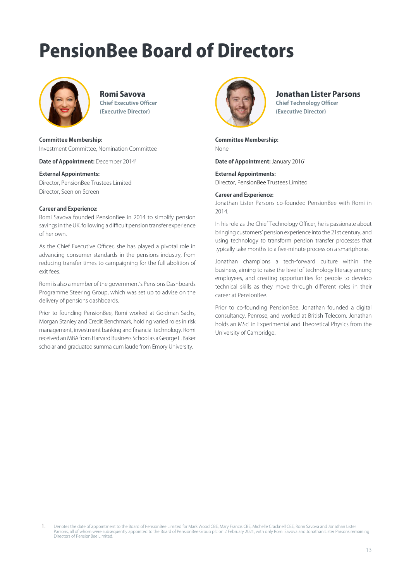# PensionBee Board of Directors



# Romi Savova **Chief Executive Officer (Executive Director)**

### **Committee Membership:**

Investment Committee, Nomination Committee

**Date of Appointment:** December 20141

### **External Appointments:**

Director, PensionBee Trustees Limited Director, Seen on Screen

### **Career and Experience:**

Romi Savova founded PensionBee in 2014 to simplify pension savings in the UK, following a difficult pension transfer experience of her own.

As the Chief Executive Officer, she has played a pivotal role in advancing consumer standards in the pensions industry, from reducing transfer times to campaigning for the full abolition of exit fees.

Romi is also a member of the government's Pensions Dashboards Programme Steering Group, which was set up to advise on the delivery of pensions dashboards.

Prior to founding PensionBee, Romi worked at Goldman Sachs, Morgan Stanley and Credit Benchmark, holding varied roles in risk management, investment banking and financial technology. Romi received an MBA from Harvard Business School as a George F. Baker scholar and graduated summa cum laude from Emory University.



# Jonathan Lister Parsons

**Chief Technology Officer (Executive Director)**

**Committee Membership:**  None

**Date of Appointment:** January 2016<sup>1</sup>

**External Appointments:** Director, PensionBee Trustees Limited

# **Career and Experience:**

Jonathan Lister Parsons co-founded PensionBee with Romi in 2014.

In his role as the Chief Technology Officer, he is passionate about bringing customers' pension experience into the 21st century, and using technology to transform pension transfer processes that typically take months to a five-minute process on a smartphone.

Jonathan champions a tech-forward culture within the business, aiming to raise the level of technology literacy among employees, and creating opportunities for people to develop technical skills as they move through different roles in their career at PensionBee.

Prior to co-founding PensionBee, Jonathan founded a digital consultancy, Penrose, and worked at British Telecom. Jonathan holds an MSci in Experimental and Theoretical Physics from the University of Cambridge.

<sup>1.</sup> Denotes the date of appointment to the Board of PensionBee Limited for Mark Wood CBE, Mary Francis CBE, Michelle Cracknell CBE, Romi Savova and Jonathan Lister<br>Parsons, all of whom were subsequently appointed to the Boa Directors of PensionBee Limited.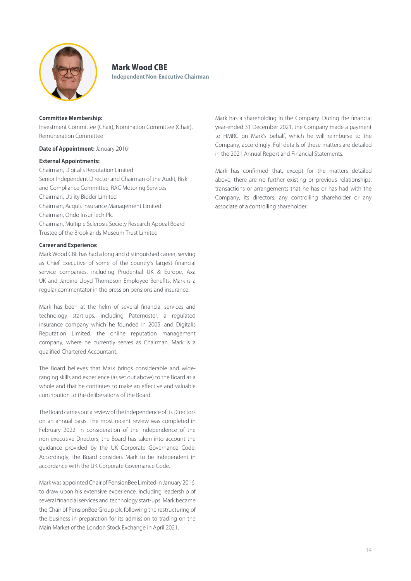

# Mark Wood CBE

**Independent Non-Executive Chairman**

## **Committee Membership:**

Investment Committee (Chair), Nomination Committee (Chair), Remuneration Committee

## **Date of Appointment: January 20161**

## **External Appointments:**

Chairman, Digitalis Reputation Limited Senior Independent Director and Chairman of the Audit, Risk and Compliance Committee, RAC Motoring Services Chairman, Utility Bidder Limited Chairman, Acquis Insurance Management Limited Chairman, Ondo InsurTech Plc Chairman, Multiple Sclerosis Society Research Appeal Board Trustee of the Brooklands Museum Trust Limited

# **Career and Experience:**

Mark Wood CBE has had a long and distinguished career, serving as Chief Executive of some of the country's largest financial service companies, including Prudential UK & Europe, Axa UK and Jardine Lloyd Thompson Employee Benefits. Mark is a regular commentator in the press on pensions and insurance.

Mark has been at the helm of several financial services and technology start-ups, including Paternoster, a regulated insurance company which he founded in 2005, and Digitalis Reputation Limited, the online reputation management company, where he currently serves as Chairman. Mark is a qualified Chartered Accountant.

The Board believes that Mark brings considerable and wideranging skills and experience (as set out above) to the Board as a whole and that he continues to make an effective and valuable contribution to the deliberations of the Board.

The Board carries out a review of the independence of its Directors on an annual basis. The most recent review was completed in February 2022. In consideration of the independence of the non-executive Directors, the Board has taken into account the guidance provided by the UK Corporate Governance Code. Accordingly, the Board considers Mark to be independent in accordance with the UK Corporate Governance Code.

Mark was appointed Chair of PensionBee Limited in January 2016, to draw upon his extensive experience, including leadership of several financial services and technology start-ups. Mark became the Chair of PensionBee Group plc following the restructuring of the business in preparation for its admission to trading on the Main Market of the London Stock Exchange in April 2021.

Mark has a shareholding in the Company. During the financial year-ended 31 December 2021, the Company made a payment to HMRC on Mark's behalf, which he will reimburse to the Company, accordingly. Full details of these matters are detailed in the 2021 Annual Report and Financial Statements.

Mark has confirmed that, except for the matters detailed above, there are no further existing or previous relationships, transactions or arrangements that he has or has had with the Company, its directors, any controlling shareholder or any associate of a controlling shareholder.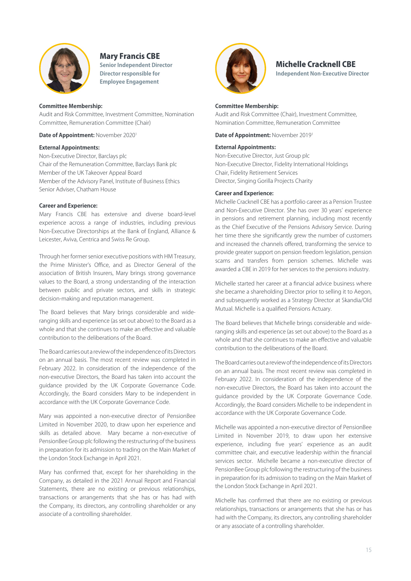

# Mary Francis CBE

**Senior Independent Director Director responsible for Employee Engagement**

## **Committee Membership:**

Audit and Risk Committee, Investment Committee, Nomination Committee, Remuneration Committee (Chair)

**Date of Appointment:** November 2020<sup>1</sup>

## **External Appointments:**

Non-Executive Director, Barclays plc Chair of the Remuneration Committee, Barclays Bank plc Member of the UK Takeover Appeal Board Member of the Advisory Panel, Institute of Business Ethics Senior Adviser, Chatham House

## **Career and Experience:**

Mary Francis CBE has extensive and diverse board-level experience across a range of industries, including previous Non-Executive Directorships at the Bank of England, Alliance & Leicester, Aviva, Centrica and Swiss Re Group.

Through her former senior executive positions with HM Treasury, the Prime Minister's Office, and as Director General of the association of British Insurers, Mary brings strong governance values to the Board, a strong understanding of the interaction between public and private sectors, and skills in strategic decision-making and reputation management.

The Board believes that Mary brings considerable and wideranging skills and experience (as set out above) to the Board as a whole and that she continues to make an effective and valuable contribution to the deliberations of the Board.

The Board carries out a review of the independence of its Directors on an annual basis. The most recent review was completed in February 2022. In consideration of the independence of the non-executive Directors, the Board has taken into account the guidance provided by the UK Corporate Governance Code. Accordingly, the Board considers Mary to be independent in accordance with the UK Corporate Governance Code.

Mary was appointed a non-executive director of PensionBee Limited in November 2020, to draw upon her experience and skills as detailed above. Mary became a non-executive of PensionBee Group plc following the restructuring of the business in preparation for its admission to trading on the Main Market of the London Stock Exchange in April 2021.

Mary has confirmed that, except for her shareholding in the Company, as detailed in the 2021 Annual Report and Financial Statements, there are no existing or previous relationships, transactions or arrangements that she has or has had with the Company, its directors, any controlling shareholder or any associate of a controlling shareholder.



# Michelle Cracknell CBE **Independent Non-Executive Director**

## **Committee Membership:**

Audit and Risk Committee (Chair), Investment Committee, Nomination Committee, Remuneration Committee

**Date of Appointment:** November 20191

# **External Appointments:**

Non-Executive Director, Just Group plc Non-Executive Director, Fidelity International Holdings Chair, Fidelity Retirement Services Director, Singing Gorilla Projects Charity

### **Career and Experience:**

Michelle Cracknell CBE has a portfolio career as a Pension Trustee and Non-Executive Director. She has over 30 years' experience in pensions and retirement planning, including most recently as the Chief Executive of the Pensions Advisory Service. During her time there she significantly grew the number of customers and increased the channels offered, transforming the service to provide greater support on pension freedom legislation, pension scams and transfers from pension schemes. Michelle was awarded a CBE in 2019 for her services to the pensions industry.

Michelle started her career at a financial advice business where she became a shareholding Director prior to selling it to Aegon, and subsequently worked as a Strategy Director at Skandia/Old Mutual. Michelle is a qualified Pensions Actuary.

The Board believes that Michelle brings considerable and wideranging skills and experience (as set out above) to the Board as a whole and that she continues to make an effective and valuable contribution to the deliberations of the Board.

The Board carries out a review of the independence of its Directors on an annual basis. The most recent review was completed in February 2022. In consideration of the independence of the non-executive Directors, the Board has taken into account the guidance provided by the UK Corporate Governance Code. Accordingly, the Board considers Michelle to be independent in accordance with the UK Corporate Governance Code.

Michelle was appointed a non-executive director of PensionBee Limited in November 2019, to draw upon her extensive experience, including five years' experience as an audit committee chair, and executive leadership within the financial services sector. Michelle became a non-executive director of PensionBee Group plc following the restructuring of the business in preparation for its admission to trading on the Main Market of the London Stock Exchange in April 2021.

Michelle has confirmed that there are no existing or previous relationships, transactions or arrangements that she has or has had with the Company, its directors, any controlling shareholder or any associate of a controlling shareholder.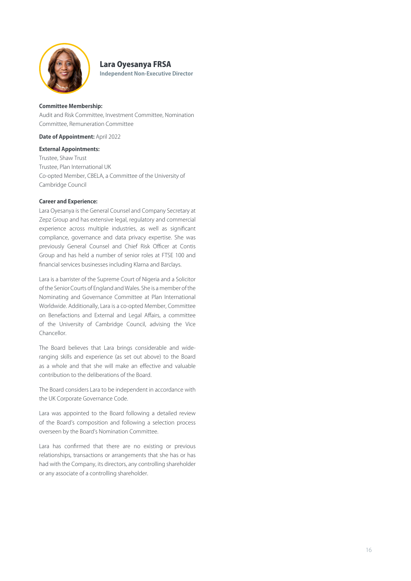

# Lara Oyesanya FRSA

**Independent Non-Executive Director**

### **Committee Membership:**

Audit and Risk Committee, Investment Committee, Nomination Committee, Remuneration Committee

**Date of Appointment:** April 2022

# **External Appointments:**

Trustee, Shaw Trust Trustee, Plan International UK Co-opted Member, CBELA, a Committee of the University of Cambridge Council

# **Career and Experience:**

Lara Oyesanya is the General Counsel and Company Secretary at Zepz Group and has extensive legal, regulatory and commercial experience across multiple industries, as well as significant compliance, governance and data privacy expertise. She was previously General Counsel and Chief Risk Officer at Contis Group and has held a number of senior roles at FTSE 100 and financial services businesses including Klarna and Barclays.

Lara is a barrister of the Supreme Court of Nigeria and a Solicitor of the Senior Courts of England and Wales. She is a member of the Nominating and Governance Committee at Plan International Worldwide. Additionally, Lara is a co-opted Member, Committee on Benefactions and External and Legal Affairs, a committee of the University of Cambridge Council, advising the Vice Chancellor.

The Board believes that Lara brings considerable and wideranging skills and experience (as set out above) to the Board as a whole and that she will make an effective and valuable contribution to the deliberations of the Board.

The Board considers Lara to be independent in accordance with the UK Corporate Governance Code.

Lara was appointed to the Board following a detailed review of the Board's composition and following a selection process overseen by the Board's Nomination Committee.

Lara has confirmed that there are no existing or previous relationships, transactions or arrangements that she has or has had with the Company, its directors, any controlling shareholder or any associate of a controlling shareholder.